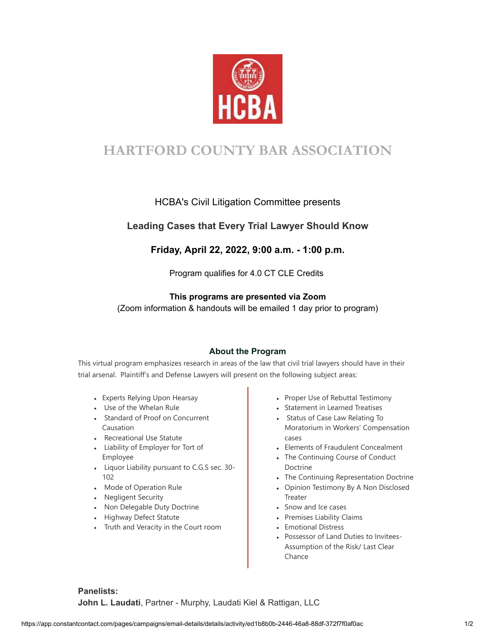

# **HARTFORD COUNTY BAR ASSOCIATION**

## HCBA's Civil Litigation Committee presents

## **Leading Cases that Every Trial Lawyer Should Know**

## **Friday, April 22, 2022, 9:00 a.m. - 1:00 p.m.**

Program qualifies for 4.0 CT CLE Credits

### **This programs are presented via Zoom**

(Zoom information & handouts will be emailed 1 day prior to program)

### **About the Program**

This virtual program emphasizes research in areas of the law that civil trial lawyers should have in their trial arsenal. Plaintiff's and Defense Lawyers will present on the following subject areas:

- Experts Relying Upon Hearsay
- Use of the Whelan Rule
- Standard of Proof on Concurrent Causation
- Recreational Use Statute
- Liability of Employer for Tort of Employee
- Liquor Liability pursuant to C.G.S sec. 30- 102
- Mode of Operation Rule
- Negligent Security
- Non Delegable Duty Doctrine
- Highway Defect Statute
- Truth and Veracity in the Court room
- Proper Use of Rebuttal Testimony
- Statement in Learned Treatises
- Status of Case Law Relating To Moratorium in Workers' Compensation cases
- Elements of Fraudulent Concealment
- The Continuing Course of Conduct Doctrine
- The Continuing Representation Doctrine
- Opinion Testimony By A Non Disclosed **Treater**
- Snow and Ice cases
- Premises Liability Claims
- Emotional Distress
- Possessor of Land Duties to Invitees-Assumption of the Risk/ Last Clear Chance